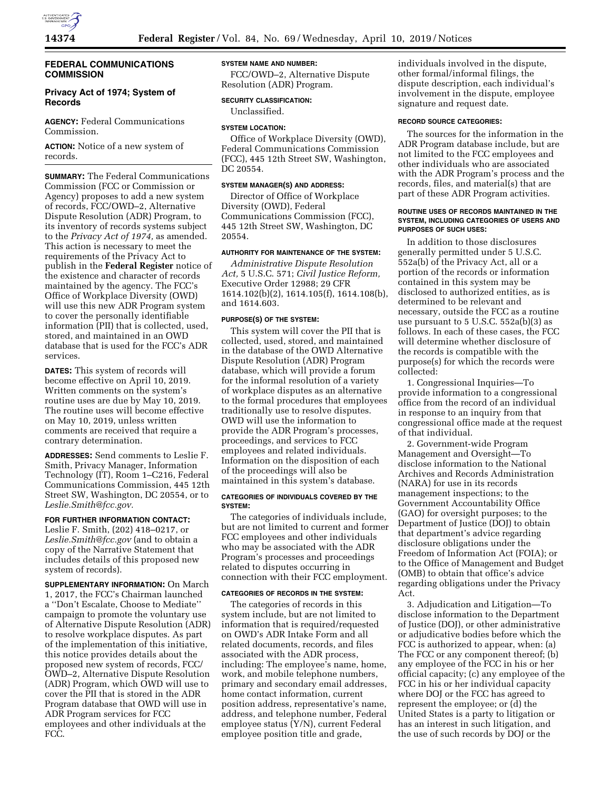

### **FEDERAL COMMUNICATIONS COMMISSION**

# **Privacy Act of 1974; System of Records**

**AGENCY:** Federal Communications Commission.

**ACTION:** Notice of a new system of records.

**SUMMARY:** The Federal Communications Commission (FCC or Commission or Agency) proposes to add a new system of records, FCC/OWD–2, Alternative Dispute Resolution (ADR) Program, to its inventory of records systems subject to the *Privacy Act of 1974,* as amended. This action is necessary to meet the requirements of the Privacy Act to publish in the **Federal Register** notice of the existence and character of records maintained by the agency. The FCC's Office of Workplace Diversity (OWD) will use this new ADR Program system to cover the personally identifiable information (PII) that is collected, used, stored, and maintained in an OWD database that is used for the FCC's ADR services.

**DATES:** This system of records will become effective on April 10, 2019. Written comments on the system's routine uses are due by May 10, 2019. The routine uses will become effective on May 10, 2019, unless written comments are received that require a contrary determination.

**ADDRESSES:** Send comments to Leslie F. Smith, Privacy Manager, Information Technology (IT), Room 1–C216, Federal Communications Commission, 445 12th Street SW, Washington, DC 20554, or to *Leslie.Smith@fcc.gov.* 

# **FOR FURTHER INFORMATION CONTACT:**

Leslie F. Smith, (202) 418–0217, or *Leslie.Smith@fcc.gov* (and to obtain a copy of the Narrative Statement that includes details of this proposed new system of records).

**SUPPLEMENTARY INFORMATION:** On March 1, 2017, the FCC's Chairman launched a ''Don't Escalate, Choose to Mediate'' campaign to promote the voluntary use of Alternative Dispute Resolution (ADR) to resolve workplace disputes. As part of the implementation of this initiative, this notice provides details about the proposed new system of records, FCC/ OWD–2, Alternative Dispute Resolution (ADR) Program, which OWD will use to cover the PII that is stored in the ADR Program database that OWD will use in ADR Program services for FCC employees and other individuals at the FCC.

#### **SYSTEM NAME AND NUMBER:**

FCC/OWD–2, Alternative Dispute Resolution (ADR) Program.

**SECURITY CLASSIFICATION:**  Unclassified.

# **SYSTEM LOCATION:**

Office of Workplace Diversity (OWD), Federal Communications Commission (FCC), 445 12th Street SW, Washington, DC 20554.

## **SYSTEM MANAGER(S) AND ADDRESS:**

Director of Office of Workplace Diversity (OWD), Federal Communications Commission (FCC), 445 12th Street SW, Washington, DC 20554.

# **AUTHORITY FOR MAINTENANCE OF THE SYSTEM:**

*Administrative Dispute Resolution Act,* 5 U.S.C. 571; *Civil Justice Reform,*  Executive Order 12988; 29 CFR 1614.102(b)(2), 1614.105(f), 1614.108(b), and 1614.603.

#### **PURPOSE(S) OF THE SYSTEM:**

This system will cover the PII that is collected, used, stored, and maintained in the database of the OWD Alternative Dispute Resolution (ADR) Program database, which will provide a forum for the informal resolution of a variety of workplace disputes as an alternative to the formal procedures that employees traditionally use to resolve disputes. OWD will use the information to provide the ADR Program's processes, proceedings, and services to FCC employees and related individuals. Information on the disposition of each of the proceedings will also be maintained in this system's database.

#### **CATEGORIES OF INDIVIDUALS COVERED BY THE SYSTEM:**

The categories of individuals include, but are not limited to current and former FCC employees and other individuals who may be associated with the ADR Program's processes and proceedings related to disputes occurring in connection with their FCC employment.

### **CATEGORIES OF RECORDS IN THE SYSTEM:**

The categories of records in this system include, but are not limited to information that is required/requested on OWD's ADR Intake Form and all related documents, records, and files associated with the ADR process, including: The employee's name, home, work, and mobile telephone numbers, primary and secondary email addresses, home contact information, current position address, representative's name, address, and telephone number, Federal employee status (Y/N), current Federal employee position title and grade,

individuals involved in the dispute, other formal/informal filings, the dispute description, each individual's involvement in the dispute, employee signature and request date.

## **RECORD SOURCE CATEGORIES:**

The sources for the information in the ADR Program database include, but are not limited to the FCC employees and other individuals who are associated with the ADR Program's process and the records, files, and material(s) that are part of these ADR Program activities.

### **ROUTINE USES OF RECORDS MAINTAINED IN THE SYSTEM, INCLUDING CATEGORIES OF USERS AND PURPOSES OF SUCH USES:**

In addition to those disclosures generally permitted under 5 U.S.C. 552a(b) of the Privacy Act, all or a portion of the records or information contained in this system may be disclosed to authorized entities, as is determined to be relevant and necessary, outside the FCC as a routine use pursuant to 5 U.S.C. 552a(b)(3) as follows. In each of these cases, the FCC will determine whether disclosure of the records is compatible with the purpose(s) for which the records were collected:

1. Congressional Inquiries—To provide information to a congressional office from the record of an individual in response to an inquiry from that congressional office made at the request of that individual.

2. Government-wide Program Management and Oversight—To disclose information to the National Archives and Records Administration (NARA) for use in its records management inspections; to the Government Accountability Office (GAO) for oversight purposes; to the Department of Justice (DOJ) to obtain that department's advice regarding disclosure obligations under the Freedom of Information Act (FOIA); or to the Office of Management and Budget (OMB) to obtain that office's advice regarding obligations under the Privacy Act.

3. Adjudication and Litigation—To disclose information to the Department of Justice (DOJ), or other administrative or adjudicative bodies before which the FCC is authorized to appear, when: (a) The FCC or any component thereof; (b) any employee of the FCC in his or her official capacity; (c) any employee of the FCC in his or her individual capacity where DOJ or the FCC has agreed to represent the employee; or (d) the United States is a party to litigation or has an interest in such litigation, and the use of such records by DOJ or the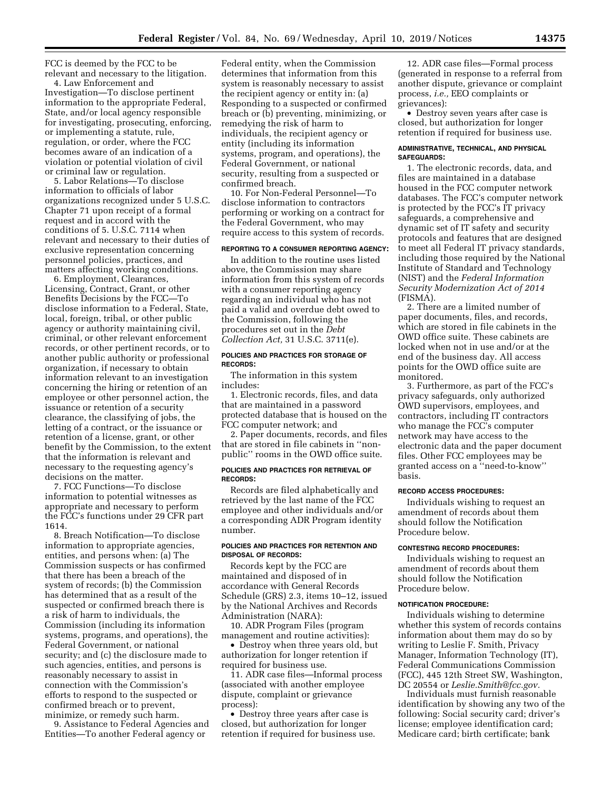FCC is deemed by the FCC to be relevant and necessary to the litigation.

4. Law Enforcement and Investigation—To disclose pertinent information to the appropriate Federal, State, and/or local agency responsible for investigating, prosecuting, enforcing, or implementing a statute, rule, regulation, or order, where the FCC becomes aware of an indication of a violation or potential violation of civil or criminal law or regulation.

5. Labor Relations—To disclose information to officials of labor organizations recognized under 5 U.S.C. Chapter 71 upon receipt of a formal request and in accord with the conditions of 5. U.S.C. 7114 when relevant and necessary to their duties of exclusive representation concerning personnel policies, practices, and matters affecting working conditions.

6. Employment, Clearances, Licensing, Contract, Grant, or other Benefits Decisions by the FCC—To disclose information to a Federal, State, local, foreign, tribal, or other public agency or authority maintaining civil, criminal, or other relevant enforcement records, or other pertinent records, or to another public authority or professional organization, if necessary to obtain information relevant to an investigation concerning the hiring or retention of an employee or other personnel action, the issuance or retention of a security clearance, the classifying of jobs, the letting of a contract, or the issuance or retention of a license, grant, or other benefit by the Commission, to the extent that the information is relevant and necessary to the requesting agency's decisions on the matter.

7. FCC Functions—To disclose information to potential witnesses as appropriate and necessary to perform the FCC's functions under 29 CFR part 1614.

8. Breach Notification—To disclose information to appropriate agencies, entities, and persons when: (a) The Commission suspects or has confirmed that there has been a breach of the system of records; (b) the Commission has determined that as a result of the suspected or confirmed breach there is a risk of harm to individuals, the Commission (including its information systems, programs, and operations), the Federal Government, or national security; and (c) the disclosure made to such agencies, entities, and persons is reasonably necessary to assist in connection with the Commission's efforts to respond to the suspected or confirmed breach or to prevent, minimize, or remedy such harm.

9. Assistance to Federal Agencies and Entities—To another Federal agency or

Federal entity, when the Commission determines that information from this system is reasonably necessary to assist the recipient agency or entity in: (a) Responding to a suspected or confirmed breach or (b) preventing, minimizing, or remedying the risk of harm to individuals, the recipient agency or entity (including its information systems, program, and operations), the Federal Government, or national security, resulting from a suspected or confirmed breach.

10. For Non-Federal Personnel—To disclose information to contractors performing or working on a contract for the Federal Government, who may require access to this system of records.

### **REPORTING TO A CONSUMER REPORTING AGENCY:**

In addition to the routine uses listed above, the Commission may share information from this system of records with a consumer reporting agency regarding an individual who has not paid a valid and overdue debt owed to the Commission, following the procedures set out in the *Debt Collection Act,* 31 U.S.C. 3711(e).

#### **POLICIES AND PRACTICES FOR STORAGE OF RECORDS:**

The information in this system includes:

1. Electronic records, files, and data that are maintained in a password protected database that is housed on the FCC computer network; and

2. Paper documents, records, and files that are stored in file cabinets in ''nonpublic'' rooms in the OWD office suite.

#### **POLICIES AND PRACTICES FOR RETRIEVAL OF RECORDS:**

Records are filed alphabetically and retrieved by the last name of the FCC employee and other individuals and/or a corresponding ADR Program identity number.

#### **POLICIES AND PRACTICES FOR RETENTION AND DISPOSAL OF RECORDS:**

Records kept by the FCC are maintained and disposed of in accordance with General Records Schedule (GRS) 2.3, items 10–12, issued by the National Archives and Records Administration (NARA):

10. ADR Program Files (program management and routine activities):

• Destroy when three years old, but authorization for longer retention if required for business use.

11. ADR case files—Informal process (associated with another employee dispute, complaint or grievance process):

• Destroy three years after case is closed, but authorization for longer retention if required for business use.

12. ADR case files—Formal process (generated in response to a referral from another dispute, grievance or complaint process, *i.e.,* EEO complaints or grievances):

• Destroy seven years after case is closed, but authorization for longer retention if required for business use.

#### **ADMINISTRATIVE, TECHNICAL, AND PHYSICAL SAFEGUARDS:**

1. The electronic records, data, and files are maintained in a database housed in the FCC computer network databases. The FCC's computer network is protected by the FCC's IT privacy safeguards, a comprehensive and dynamic set of IT safety and security protocols and features that are designed to meet all Federal IT privacy standards, including those required by the National Institute of Standard and Technology (NIST) and the *Federal Information Security Modernization Act of 2014*  (FISMA).

2. There are a limited number of paper documents, files, and records, which are stored in file cabinets in the OWD office suite. These cabinets are locked when not in use and/or at the end of the business day. All access points for the OWD office suite are monitored.

3. Furthermore, as part of the FCC's privacy safeguards, only authorized OWD supervisors, employees, and contractors, including IT contractors who manage the FCC's computer network may have access to the electronic data and the paper document files. Other FCC employees may be granted access on a ''need-to-know'' basis.

## **RECORD ACCESS PROCEDURES:**

Individuals wishing to request an amendment of records about them should follow the Notification Procedure below.

#### **CONTESTING RECORD PROCEDURES:**

Individuals wishing to request an amendment of records about them should follow the Notification Procedure below.

## **NOTIFICATION PROCEDURE:**

Individuals wishing to determine whether this system of records contains information about them may do so by writing to Leslie F. Smith, Privacy Manager, Information Technology (IT), Federal Communications Commission (FCC), 445 12th Street SW, Washington, DC 20554 or *Leslie.Smith@fcc.gov.* 

Individuals must furnish reasonable identification by showing any two of the following: Social security card; driver's license; employee identification card; Medicare card; birth certificate; bank